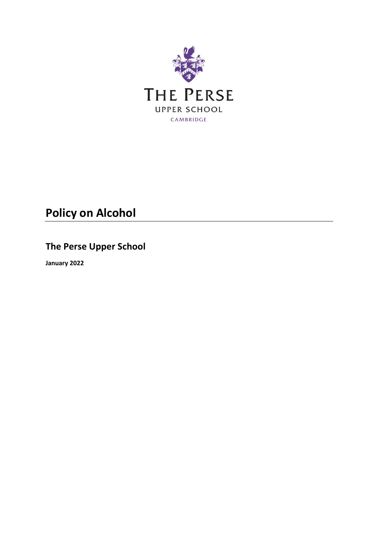

# **Policy on Alcohol**

## **The Perse Upper School**

**January 2022**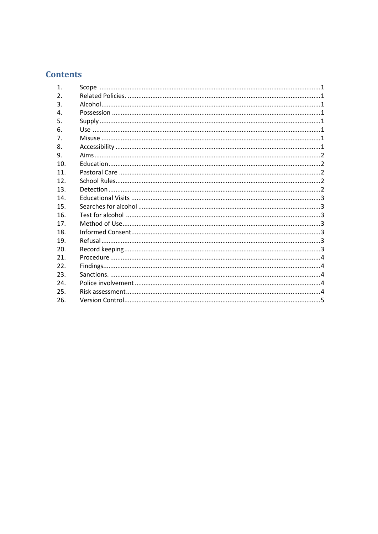### **Contents**

| $\mathbf{1}$ .  | Scope |
|-----------------|-------|
| 2.              |       |
| 3.              |       |
|                 |       |
| 4.              |       |
| 5.              |       |
| 6.              |       |
| 7 <sub>1</sub>  |       |
| 8.              |       |
| 9.              |       |
| 10 <sub>1</sub> |       |
| 11.             |       |
| 12.             |       |
| 13.             |       |
| 14              |       |
| 15.             |       |
| 16.             |       |
| 17 <sub>1</sub> |       |
| 18.             |       |
| 19.             |       |
| 20.             |       |
| 21.             |       |
| 22.             |       |
| 23.             |       |
| 24.             |       |
| 25.             |       |
| 26.             |       |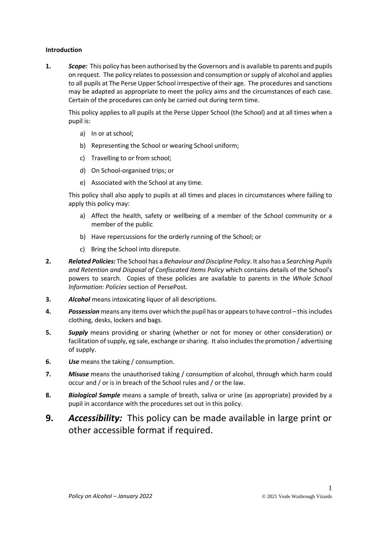#### **Introduction**

<span id="page-2-0"></span>**1.** *Scope:* This policy has been authorised by the Governors and is available to parents and pupils on request. The policy relates to possession and consumption or supply of alcohol and applies to all pupils at The Perse Upper School irrespective of their age. The procedures and sanctions may be adapted as appropriate to meet the policy aims and the circumstances of each case. Certain of the procedures can only be carried out during term time.

This policy applies to all pupils at the Perse Upper School (the School) and at all times when a pupil is:

- a) In or at school;
- b) Representing the School or wearing School uniform;
- c) Travelling to or from school;
- d) On School-organised trips; or
- e) Associated with the School at any time.

This policy shall also apply to pupils at all times and places in circumstances where failing to apply this policy may:

- a) Affect the health, safety or wellbeing of a member of the School community or a member of the public
- b) Have repercussions for the orderly running of the School; or
- c) Bring the School into disrepute.
- <span id="page-2-1"></span>**2.** *Related Policies:* The School has a *Behaviour and Discipline Policy*. It also has a *Searching Pupils and Retention and Disposal of Confiscated Items Policy* which contains details of the School's powers to search. Copies of these policies are available to parents in the *Whole School Information: Policies* section of PersePost.
- <span id="page-2-2"></span>**3.** *Alcohol* means intoxicating liquor of all descriptions.
- <span id="page-2-3"></span>**4.** *Possession* means any items over which the pupil has or appears to have control – this includes clothing, desks, lockers and bags.
- <span id="page-2-4"></span>**5.** *Supply* means providing or sharing (whether or not for money or other consideration) or facilitation of supply, eg sale, exchange or sharing. It also includes the promotion / advertising of supply.
- <span id="page-2-5"></span>**6.** *Use* means the taking / consumption.
- <span id="page-2-6"></span>**7.** *Misuse* means the unauthorised taking / consumption of alcohol, through which harm could occur and / or is in breach of the School rules and / or the law.
- **8.** *Biological Sample* means a sample of breath, saliva or urine (as appropriate) provided by a pupil in accordance with the procedures set out in this policy.
- <span id="page-2-7"></span>**9.** *Accessibility:* This policy can be made available in large print or other accessible format if required.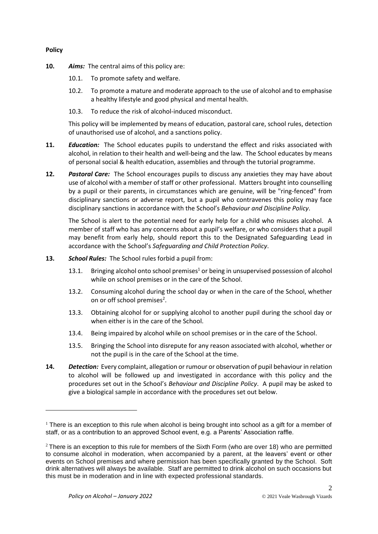#### **Policy**

-

- <span id="page-3-0"></span>**10.** *Aims:* The central aims of this policy are:
	- 10.1. To promote safety and welfare.
	- 10.2. To promote a mature and moderate approach to the use of alcohol and to emphasise a healthy lifestyle and good physical and mental health.
	- 10.3. To reduce the risk of alcohol-induced misconduct.

This policy will be implemented by means of education, pastoral care, school rules, detection of unauthorised use of alcohol, and a sanctions policy.

- <span id="page-3-1"></span>**11.** *Education:* The School educates pupils to understand the effect and risks associated with alcohol, in relation to their health and well-being and the law. The School educates by means of personal social & health education, assemblies and through the tutorial programme.
- <span id="page-3-2"></span>**12.** *Pastoral Care:* The School encourages pupils to discuss any anxieties they may have about use of alcohol with a member of staff or other professional. Matters brought into counselling by a pupil or their parents, in circumstances which are genuine, will be "ring-fenced" from disciplinary sanctions or adverse report, but a pupil who contravenes this policy may face disciplinary sanctions in accordance with the School's *Behaviour and Discipline Policy*.

The School is alert to the potential need for early help for a child who misuses alcohol. A member of staff who has any concerns about a pupil's welfare, or who considers that a pupil may benefit from early help, should report this to the Designated Safeguarding Lead in accordance with the School's *Safeguarding and Child Protection Policy*.

- <span id="page-3-3"></span>**13.** *School Rules:* The School rules forbid a pupil from:
	- 13.1. Bringing alcohol onto school premises<sup>1</sup> or being in unsupervised possession of alcohol while on school premises or in the care of the School.
	- 13.2. Consuming alcohol during the school day or when in the care of the School, whether on or off school premises<sup>2</sup>.
	- 13.3. Obtaining alcohol for or supplying alcohol to another pupil during the school day or when either is in the care of the School.
	- 13.4. Being impaired by alcohol while on school premises or in the care of the School.
	- 13.5. Bringing the School into disrepute for any reason associated with alcohol, whether or not the pupil is in the care of the School at the time.
- <span id="page-3-4"></span>**14.** *Detection:* Every complaint, allegation or rumour or observation of pupil behaviour in relation to alcohol will be followed up and investigated in accordance with this policy and the procedures set out in the School's *Behaviour and Discipline Policy*. A pupil may be asked to give a biological sample in accordance with the procedures set out below.

 $<sup>1</sup>$  There is an exception to this rule when alcohol is being brought into school as a gift for a member of</sup> staff, or as a contribution to an approved School event, e.g. a Parents' Association raffle.

<sup>&</sup>lt;sup>2</sup> There is an exception to this rule for members of the Sixth Form (who are over 18) who are permitted to consume alcohol in moderation, when accompanied by a parent, at the leavers' event or other events on School premises and where permission has been specifically granted by the School. Soft drink alternatives will always be available. Staff are permitted to drink alcohol on such occasions but this must be in moderation and in line with expected professional standards.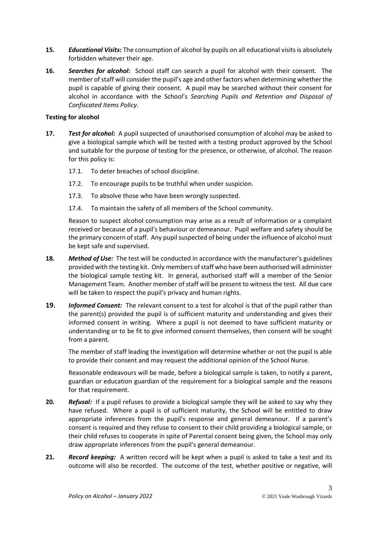- <span id="page-4-0"></span>**15.** *Educational Visits:* The consumption of alcohol by pupils on all educational visits is absolutely forbidden whatever their age.
- <span id="page-4-1"></span>**16.** *Searches for alcohol:* School staff can search a pupil for alcohol with their consent. The member of staff will consider the pupil's age and other factors when determining whether the pupil is capable of giving their consent. A pupil may be searched without their consent for alcohol in accordance with the School's *Searching Pupils and Retention and Disposal of Confiscated Items Policy*.

#### **Testing for alcohol**

- <span id="page-4-2"></span>**17.** *Test for alcohol:* A pupil suspected of unauthorised consumption of alcohol may be asked to give a biological sample which will be tested with a testing product approved by the School and suitable for the purpose of testing for the presence, or otherwise, of alcohol. The reason for this policy is:
	- 17.1. To deter breaches of school discipline.
	- 17.2. To encourage pupils to be truthful when under suspicion.
	- 17.3. To absolve those who have been wrongly suspected.
	- 17.4. To maintain the safety of all members of the School community.

Reason to suspect alcohol consumption may arise as a result of information or a complaint received or because of a pupil's behaviour or demeanour. Pupil welfare and safety should be the primary concern of staff. Any pupil suspected of being under the influence of alcohol must be kept safe and supervised.

- <span id="page-4-3"></span>**18.** *Method of Use:* The test will be conducted in accordance with the manufacturer's guidelines provided with the testing kit. Only members of staff who have been authorised will administer the biological sample testing kit. In general, authorised staff will a member of the Senior Management Team. Another member of staff will be present to witness the test. All due care will be taken to respect the pupil's privacy and human rights.
- <span id="page-4-4"></span>**19.** *Informed Consent:* The relevant consent to a test for alcohol is that of the pupil rather than the parent(s) provided the pupil is of sufficient maturity and understanding and gives their informed consent in writing. Where a pupil is not deemed to have sufficient maturity or understanding or to be fit to give informed consent themselves, then consent will be sought from a parent.

The member of staff leading the investigation will determine whether or not the pupil is able to provide their consent and may request the additional opinion of the School Nurse.

Reasonable endeavours will be made, before a biological sample is taken, to notify a parent, guardian or education guardian of the requirement for a biological sample and the reasons for that requirement.

- <span id="page-4-5"></span>**20.** *Refusal:* If a pupil refuses to provide a biological sample they will be asked to say why they have refused. Where a pupil is of sufficient maturity, the School will be entitled to draw appropriate inferences from the pupil's response and general demeanour. If a parent's consent is required and they refuse to consent to their child providing a biological sample, or their child refuses to cooperate in spite of Parental consent being given, the School may only draw appropriate inferences from the pupil's general demeanour.
- <span id="page-4-6"></span>**21.** *Record keeping:* A written record will be kept when a pupil is asked to take a test and its outcome will also be recorded. The outcome of the test, whether positive or negative, will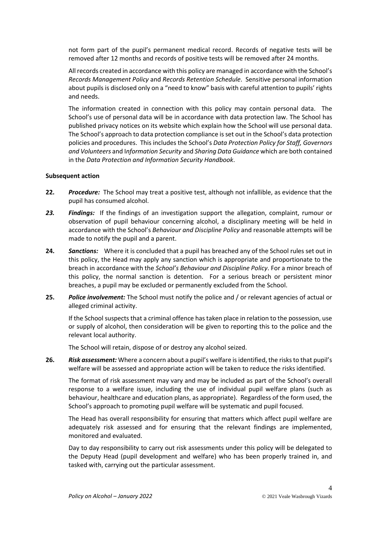not form part of the pupil's permanent medical record. Records of negative tests will be removed after 12 months and records of positive tests will be removed after 24 months.

All records created in accordance with this policy are managed in accordance with the School's *Records Management Policy* and *Records Retention Schedule*. Sensitive personal information about pupils is disclosed only on a "need to know" basis with careful attention to pupils' rights and needs.

The information created in connection with this policy may contain personal data. The School's use of personal data will be in accordance with data protection law. The School has published privacy notices on its website which explain how the School will use personal data. The School's approach to data protection compliance is set out in the School's data protection policies and procedures. This includes the School's *Data Protection Policy for Staff, Governors and Volunteers* and I*nformation Security* and *Sharing Data Guidance* which are both contained in the *Data Protection and Information Security Handbook*.

#### **Subsequent action**

- <span id="page-5-0"></span>**22.** *Procedure:* The School may treat a positive test, although not infallible, as evidence that the pupil has consumed alcohol.
- <span id="page-5-1"></span>*23. Findings:* If the findings of an investigation support the allegation, complaint, rumour or observation of pupil behaviour concerning alcohol, a disciplinary meeting will be held in accordance with the School's *Behaviour and Discipline Policy* and reasonable attempts will be made to notify the pupil and a parent.
- <span id="page-5-2"></span>**24.** *Sanctions:* Where it is concluded that a pupil has breached any of the School rules set out in this policy, the Head may apply any sanction which is appropriate and proportionate to the breach in accordance with the *School's Behaviour and Discipline Policy*. For a minor breach of this policy, the normal sanction is detention. For a serious breach or persistent minor breaches, a pupil may be excluded or permanently excluded from the School.
- <span id="page-5-3"></span>**25.** *Police involvement:* The School must notify the police and / or relevant agencies of actual or alleged criminal activity.

If the School suspects that a criminal offence has taken place in relation to the possession, use or supply of alcohol, then consideration will be given to reporting this to the police and the relevant local authority.

The School will retain, dispose of or destroy any alcohol seized.

<span id="page-5-4"></span>**26.** *Risk assessment:* Where a concern about a pupil's welfare is identified, the risks to that pupil's welfare will be assessed and appropriate action will be taken to reduce the risks identified.

The format of risk assessment may vary and may be included as part of the School's overall response to a welfare issue, including the use of individual pupil welfare plans (such as behaviour, healthcare and education plans, as appropriate). Regardless of the form used, the School's approach to promoting pupil welfare will be systematic and pupil focused.

The Head has overall responsibility for ensuring that matters which affect pupil welfare are adequately risk assessed and for ensuring that the relevant findings are implemented, monitored and evaluated.

Day to day responsibility to carry out risk assessments under this policy will be delegated to the Deputy Head (pupil development and welfare) who has been properly trained in, and tasked with, carrying out the particular assessment.